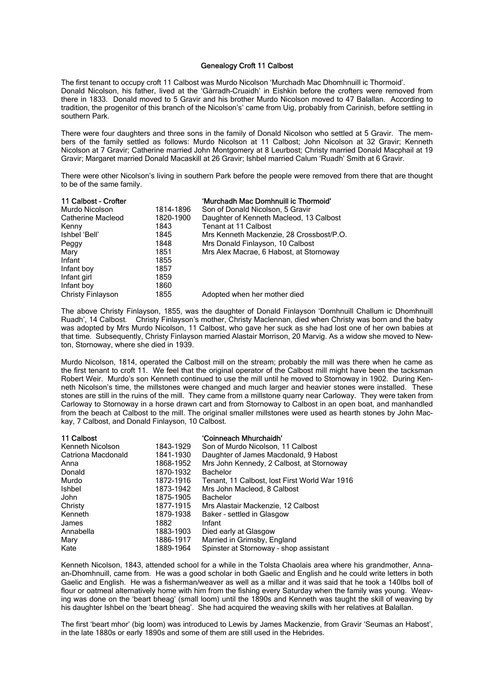## Genealogy Croft 11 Calbost

The first tenant to occupy croft 11 Calbost was Murdo Nicolson 'Murchadh Mac Dhomhnuill ic Thormoid'. Donald Nicolson, his father, lived at the 'Gàrradh-Cruaidh' in Eishkin before the crofters were removed from there in 1833. Donald moved to 5 Gravir and his brother Murdo Nicolson moved to 47 Balallan. According to tradition, the progenitor of this branch of the Nicolson's' came from Uig, probably from Carinish, before settling in southern Park.

There were four daughters and three sons in the family of Donald Nicolson who settled at 5 Gravir. The members of the family settled as follows: Murdo Nicolson at 11 Calbost; John Nicolson at 32 Gravir; Kenneth Nicolson at 7 Gravir; Catherine married John Montgomery at 8 Leurbost; Christy married Donald Macphail at 19 Gravir; Margaret married Donald Macaskill at 26 Gravir; Ishbel married Calum 'Ruadh' Smith at 6 Gravir.

There were other Nicolson's living in southern Park before the people were removed from there that are thought to be of the same family.

| 11 Calbost - Crofter     |           | 'Murchadh Mac Domhnuill ic Thormoid'     |
|--------------------------|-----------|------------------------------------------|
| Murdo Nicolson           | 1814-1896 | Son of Donald Nicolson, 5 Gravir         |
| Catherine Macleod        | 1820-1900 | Daughter of Kenneth Macleod, 13 Calbost  |
| Kenny                    | 1843      | Tenant at 11 Calbost                     |
| Ishbel 'Bell'            | 1845      | Mrs Kenneth Mackenzie, 28 Crossbost/P.O. |
| Peggy                    | 1848      | Mrs Donald Finlayson, 10 Calbost         |
| Mary                     | 1851      | Mrs Alex Macrae, 6 Habost, at Stornoway  |
| Infant                   | 1855      |                                          |
| Infant boy               | 1857      |                                          |
| Infant girl              | 1859      |                                          |
| Infant boy               | 1860      |                                          |
| <b>Christy Finlayson</b> | 1855      | Adopted when her mother died             |

The above Christy Finlayson, 1855, was the daughter of Donald Finlayson 'Domhnuill Challum ic Dhomhnuill Ruadh', 14 Calbost. Christy Finlayson's mother, Christy Maclennan, died when Christy was born and the baby was adopted by Mrs Murdo Nicolson, 11 Calbost, who gave her suck as she had lost one of her own babies at that time. Subsequently, Christy Finlayson married Alastair Morrison, 20 Marvig. As a widow she moved to Newton, Stornoway, where she died in 1939.

Murdo Nicolson, 1814, operated the Calbost mill on the stream; probably the mill was there when he came as the first tenant to croft 11. We feel that the original operator of the Calbost mill might have been the tacksman Robert Weir. Murdo's son Kenneth continued to use the mill until he moved to Stornoway in 1902. During Kenneth Nicolson's time, the millstones were changed and much larger and heavier stones were installed. These stones are still in the ruins of the mill. They came from a millstone quarry near Carloway. They were taken from Carloway to Stornoway in a horse drawn cart and from Stornoway to Calbost in an open boat, and manhandled from the beach at Calbost to the mill. The original smaller millstones were used as hearth stones by John Mackay, 7 Calbost, and Donald Finlayson, 10 Calbost.

| 11 Calbost         |           | 'Coinneach Mhurchaidh'                        |
|--------------------|-----------|-----------------------------------------------|
| Kenneth Nicolson   | 1843-1929 | Son of Murdo Nicolson, 11 Calbost             |
| Catriona Macdonald | 1841-1930 | Daughter of James Macdonald, 9 Habost         |
| Anna               | 1868-1952 | Mrs John Kennedy, 2 Calbost, at Stornoway     |
| Donald             | 1870-1932 | <b>Bachelor</b>                               |
| Murdo              | 1872-1916 | Tenant, 11 Calbost, lost First World War 1916 |
| <b>Ishbel</b>      | 1873-1942 | Mrs John Macleod, 8 Calbost                   |
| John               | 1875-1905 | <b>Bachelor</b>                               |
| Christy            | 1877-1915 | Mrs Alastair Mackenzie, 12 Calbost            |
| Kenneth            | 1879-1938 | Baker - settled in Glasgow                    |
| James              | 1882      | Infant                                        |
| Annabella          | 1883-1903 | Died early at Glasgow                         |
| Mary               | 1886-1917 | Married in Grimsby, England                   |
| Kate               | 1889-1964 | Spinster at Stornoway - shop assistant        |

Kenneth Nicolson, 1843, attended school for a while in the Tolsta Chaolais area where his grandmother, Annaan-Dhomhnuill, came from. He was a good scholar in both Gaelic and English and he could write letters in both Gaelic and English. He was a fisherman/weaver as well as a millar and it was said that he took a 140lbs boll of flour or oatmeal alternatively home with him from the fishing every Saturday when the family was young. Weaving was done on the 'beart bheag' (small loom) until the 1890s and Kenneth was taught the skill of weaving by his daughter Ishbel on the 'beart bheag'. She had acquired the weaving skills with her relatives at Balallan.

The first 'beart mhor' (big loom) was introduced to Lewis by James Mackenzie, from Gravir 'Seumas an Habost', in the late 1880s or early 1890s and some of them are still used in the Hebrides.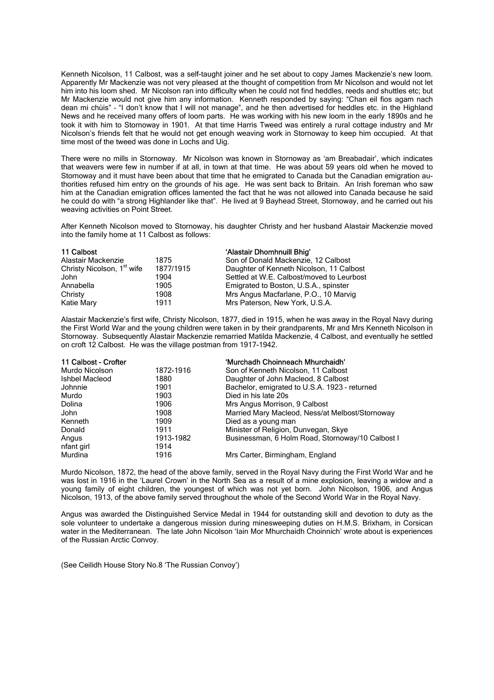Kenneth Nicolson, 11 Calbost, was a self-taught joiner and he set about to copy James Mackenzie's new loom. Apparently Mr Mackenzie was not very pleased at the thought of competition from Mr Nicolson and would not let him into his loom shed. Mr Nicolson ran into difficulty when he could not find heddles, reeds and shuttles etc; but Mr Mackenzie would not give him any information. Kenneth responded by saying: "Chan eil fios agam nach dean mi chùis" – "I don't know that I will not manage", and he then advertised for heddles etc. in the Highland News and he received many offers of loom parts. He was working with his new loom in the early 1890s and he took it with him to Stornoway in 1901. At that time Harris Tweed was entirely a rural cottage industry and Mr Nicolson's friends felt that he would not get enough weaving work in Stornoway to keep him occupied. At that time most of the tweed was done in Lochs and Uig.

There were no mills in Stornoway. Mr Nicolson was known in Stornoway as 'am Breabadair', which indicates that weavers were few in number if at all, in town at that time. He was about 59 years old when he moved to Stornoway and it must have been about that time that he emigrated to Canada but the Canadian emigration authorities refused him entry on the grounds of his age. He was sent back to Britain. An Irish foreman who saw him at the Canadian emigration offices lamented the fact that he was not allowed into Canada because he said he could do with "a strong Highlander like that". He lived at 9 Bayhead Street, Stornoway, and he carried out his weaving activities on Point Street.

After Kenneth Nicolson moved to Stornoway, his daughter Christy and her husband Alastair Mackenzie moved into the family home at 11 Calbost as follows:

| 11 Calbost                             |           | 'Alastair Dhomhnuill Bhig'                |
|----------------------------------------|-----------|-------------------------------------------|
| Alastair Mackenzie                     | 1875      | Son of Donald Mackenzie, 12 Calbost       |
| Christy Nicolson, 1 <sup>st</sup> wife | 1877/1915 | Daughter of Kenneth Nicolson, 11 Calbost  |
| John                                   | 1904      | Settled at W.E. Calbost/moved to Leurbost |
| Annabella                              | 1905      | Emigrated to Boston, U.S.A., spinster     |
| Christy                                | 1908      | Mrs Angus Macfarlane, P.O., 10 Marvig     |
| Katie Mary                             | 1911      | Mrs Paterson, New York, U.S.A.            |

Alastair Mackenzie's first wife, Christy Nicolson, 1877, died in 1915, when he was away in the Royal Navy during the First World War and the young children were taken in by their grandparents, Mr and Mrs Kenneth Nicolson in Stornoway. Subsequently Alastair Mackenzie remarried Matilda Mackenzie, 4 Calbost, and eventually he settled on croft 12 Calbost. He was the village postman from 1917-1942.

| 11 Calbost - Crofter |           | 'Murchadh Choinneach Mhurchaidh'                 |
|----------------------|-----------|--------------------------------------------------|
| Murdo Nicolson       | 1872-1916 | Son of Kenneth Nicolson, 11 Calbost              |
| Ishbel Macleod       | 1880      | Daughter of John Macleod, 8 Calbost              |
| Johnnie              | 1901      | Bachelor, emigrated to U.S.A. 1923 - returned    |
| Murdo                | 1903      | Died in his late 20s                             |
| Dolina               | 1906      | Mrs Angus Morrison, 9 Calbost                    |
| John                 | 1908      | Married Mary Macleod, Ness/at Melbost/Stornoway  |
| Kenneth              | 1909      | Died as a young man                              |
| Donald               | 1911      | Minister of Religion, Dunvegan, Skye             |
| Angus                | 1913-1982 | Businessman, 6 Holm Road, Stornoway/10 Calbost I |
| nfant girl           | 1914      |                                                  |
| Murdina              | 1916      | Mrs Carter, Birmingham, England                  |

Murdo Nicolson, 1872, the head of the above family, served in the Royal Navy during the First World War and he was lost in 1916 in the 'Laurel Crown' in the North Sea as a result of a mine explosion, leaving a widow and a young family of eight children, the youngest of which was not yet born. John Nicolson, 1906, and Angus Nicolson, 1913, of the above family served throughout the whole of the Second World War in the Royal Navy.

Angus was awarded the Distinguished Service Medal in 1944 for outstanding skill and devotion to duty as the sole volunteer to undertake a dangerous mission during minesweeping duties on H.M.S. Brixham, in Corsican water in the Mediterranean. The late John Nicolson 'Iain Mor Mhurchaidh Choinnich' wrote about is experiences of the Russian Arctic Convoy.

(See Ceilidh House Story No.8 'The Russian Convoy')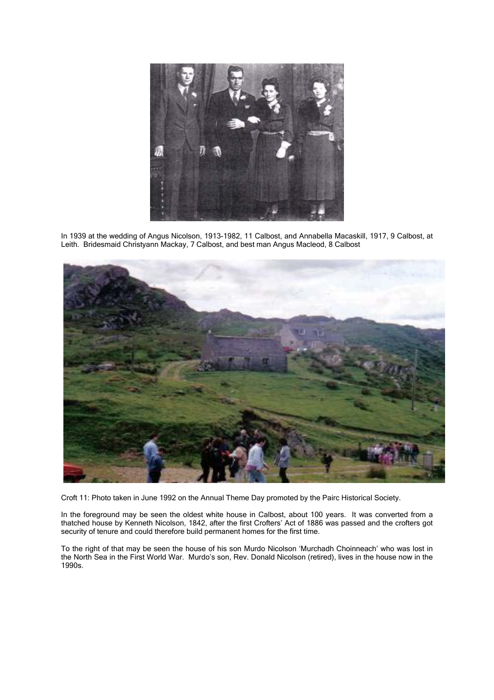

In 1939 at the wedding of Angus Nicolson, 1913-1982, 11 Calbost, and Annabella Macaskill, 1917, 9 Calbost, at Leith. Bridesmaid Christyann Mackay, 7 Calbost, and best man Angus Macleod, 8 Calbost



Croft 11: Photo taken in June 1992 on the Annual Theme Day promoted by the Pairc Historical Society.

In the foreground may be seen the oldest white house in Calbost, about 100 years. It was converted from a thatched house by Kenneth Nicolson, 1842, after the first Crofters' Act of 1886 was passed and the crofters got security of tenure and could therefore build permanent homes for the first time.

To the right of that may be seen the house of his son Murdo Nicolson 'Murchadh Choinneach' who was lost in the North Sea in the First World War. Murdo's son, Rev. Donald Nicolson (retired), lives in the house now in the 1990s.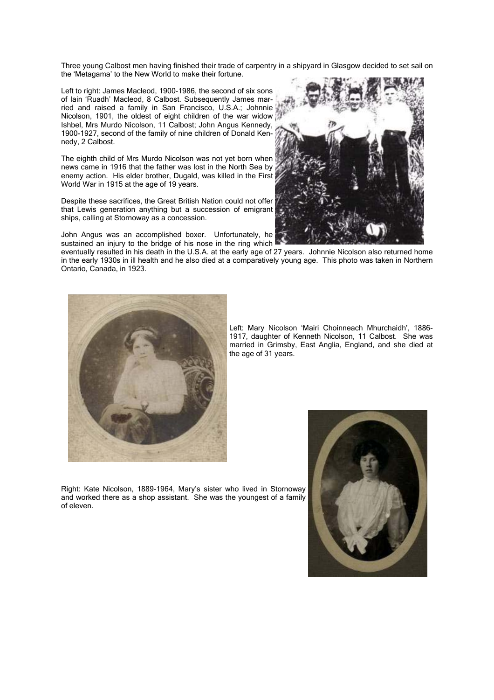Three young Calbost men having finished their trade of carpentry in a shipyard in Glasgow decided to set sail on the 'Metagama' to the New World to make their fortune.

Left to right: James Macleod, 1900-1986, the second of six sons of Iain 'Ruadh' Macleod, 8 Calbost. Subsequently James married and raised a family in San Francisco, U.S.A.; Johnnie Nicolson, 1901, the oldest of eight children of the war widow Ishbel, Mrs Murdo Nicolson, 11 Calbost; John Angus Kennedy, 1900-1927, second of the family of nine children of Donald Kennedy, 2 Calbost.

The eighth child of Mrs Murdo Nicolson was not yet born when news came in 1916 that the father was lost in the North Sea by enemy action. His elder brother, Dugald, was killed in the First World War in 1915 at the age of 19 years.

Despite these sacrifices, the Great British Nation could not offer that Lewis generation anything but a succession of emigrant ships, calling at Stornoway as a concession.

John Angus was an accomplished boxer. Unfortunately, he sustained an injury to the bridge of his nose in the ring which

eventually resulted in his death in the U.S.A. at the early age of 27 years. Johnnie Nicolson also returned home in the early 1930s in ill health and he also died at a comparatively young age. This photo was taken in Northern Ontario, Canada, in 1923.



Left: Mary Nicolson 'Mairi Choinneach Mhurchaidh', 1886- 1917, daughter of Kenneth Nicolson, 11 Calbost. She was married in Grimsby, East Anglia, England, and she died at the age of 31 years.

Right: Kate Nicolson, 1889-1964, Mary's sister who lived in Stornoway and worked there as a shop assistant. She was the youngest of a family of eleven.



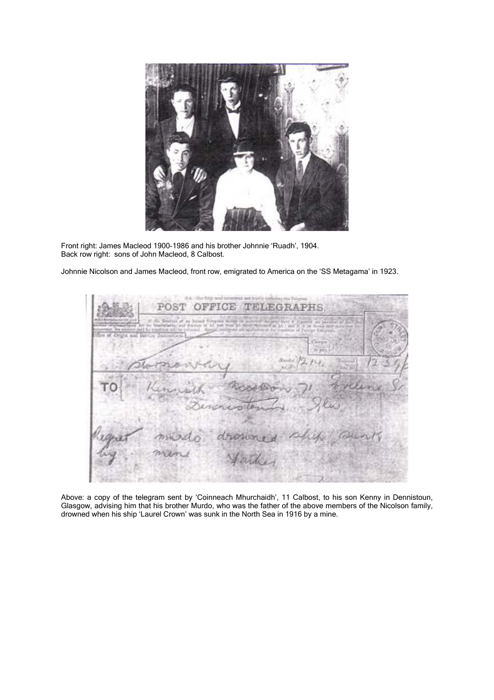

Front right: James Macleod 1900-1986 and his brother Johnnie 'Ruadh', 1904. Back row right: sons of John Macleod, 8 Calbost.

Johnnie Nicolson and James Macleod, front row, emigrated to America on the 'SS Metagama' in 1923.



Above: a copy of the telegram sent by 'Coinneach Mhurchaidh', 11 Calbost, to his son Kenny in Dennistoun, Glasgow, advising him that his brother Murdo, who was the father of the above members of the Nicolson family, drowned when his ship 'Laurel Crown' was sunk in the North Sea in 1916 by a mine.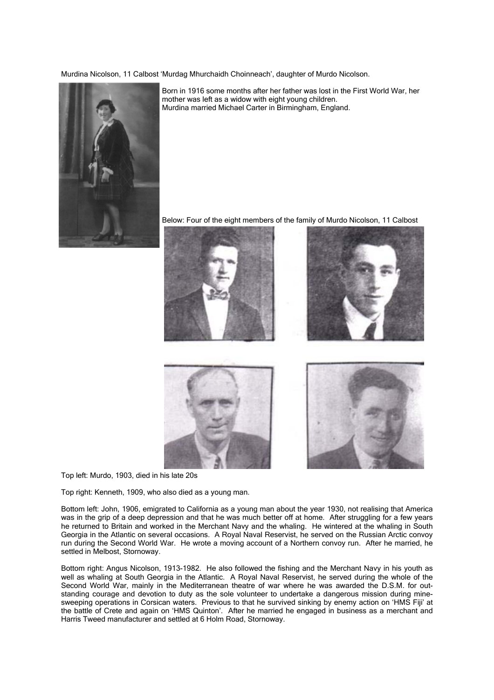Murdina Nicolson, 11 Calbost 'Murdag Mhurchaidh Choinneach', daughter of Murdo Nicolson.



Born in 1916 some months after her father was lost in the First World War, her mother was left as a widow with eight young children. Murdina married Michael Carter in Birmingham, England.

Below: Four of the eight members of the family of Murdo Nicolson, 11 Calbost









Top left: Murdo, 1903, died in his late 20s

Top right: Kenneth, 1909, who also died as a young man.

Bottom left: John, 1906, emigrated to California as a young man about the year 1930, not realising that America was in the grip of a deep depression and that he was much better off at home. After struggling for a few years he returned to Britain and worked in the Merchant Navy and the whaling. He wintered at the whaling in South Georgia in the Atlantic on several occasions. A Royal Naval Reservist, he served on the Russian Arctic convoy run during the Second World War. He wrote a moving account of a Northern convoy run. After he married, he settled in Melbost, Stornoway.

Bottom right: Angus Nicolson, 1913-1982. He also followed the fishing and the Merchant Navy in his youth as well as whaling at South Georgia in the Atlantic. A Royal Naval Reservist, he served during the whole of the Second World War, mainly in the Mediterranean theatre of war where he was awarded the D.S.M. for outstanding courage and devotion to duty as the sole volunteer to undertake a dangerous mission during minesweeping operations in Corsican waters. Previous to that he survived sinking by enemy action on 'HMS Fiji' at the battle of Crete and again on 'HMS Quinton'. After he married he engaged in business as a merchant and Harris Tweed manufacturer and settled at 6 Holm Road, Stornoway.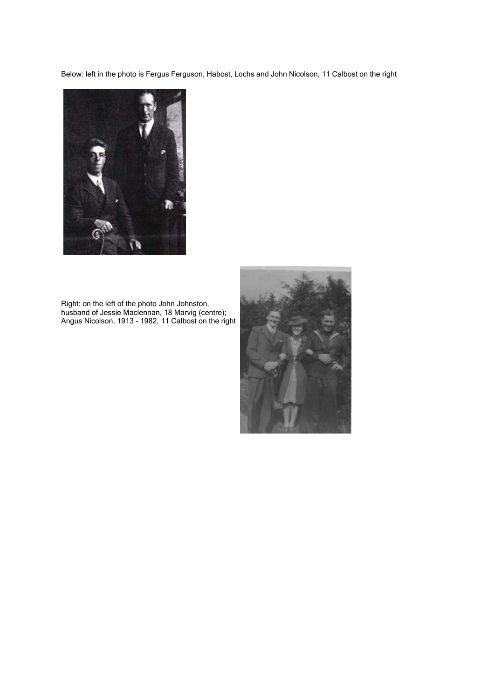Below: left in the photo is Fergus Ferguson, Habost, Lochs and John Nicolson, 11 Calbost on the right



Right: on the left of the photo John Johnston, husband of Jessie Maclennan, 18 Marvig (centre); Angus Nicolson, 1913 - 1982, 11 Calbost on the right

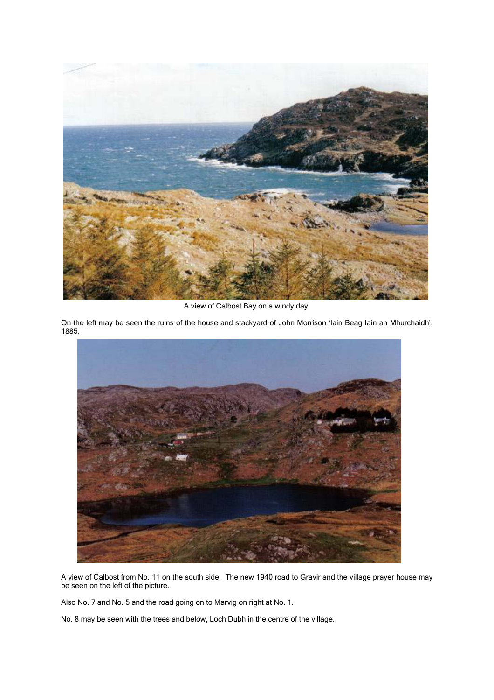

A view of Calbost Bay on a windy day.

On the left may be seen the ruins of the house and stackyard of John Morrison 'Iain Beag Iain an Mhurchaidh', 1885.



A view of Calbost from No. 11 on the south side. The new 1940 road to Gravir and the village prayer house may be seen on the left of the picture.

Also No. 7 and No. 5 and the road going on to Marvig on right at No. 1.

No. 8 may be seen with the trees and below, Loch Dubh in the centre of the village.